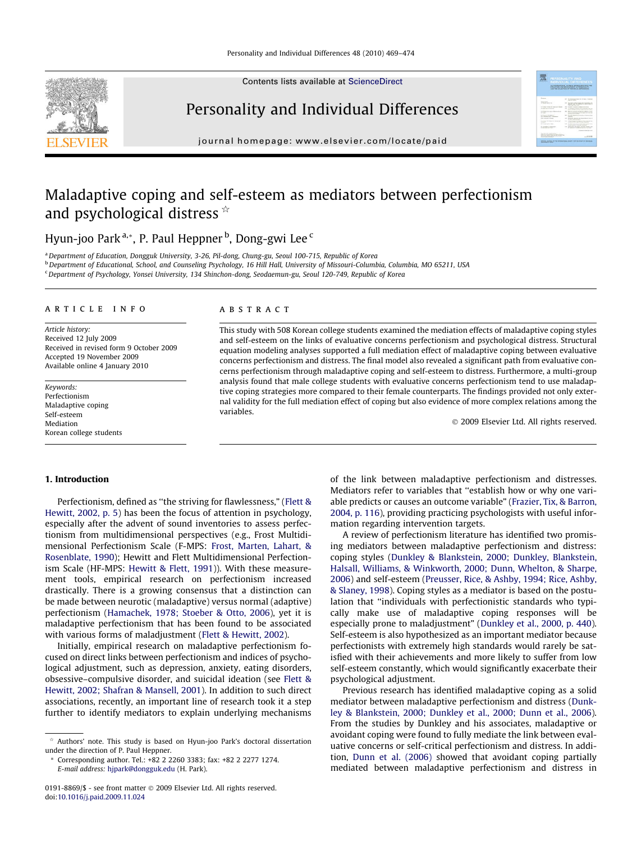Contents lists available at [ScienceDirect](http://www.sciencedirect.com/science/journal/01918869)



# Personality and Individual Differences

journal homepage: [www.elsevier.com/locate/paid](http://www.elsevier.com/locate/paid)

# **CONTRACTOR**

# Maladaptive coping and self-esteem as mediators between perfectionism and psychological distress  $\hat{z}$

Hyun-joo Park<sup>a,</sup>\*, P. Paul Heppner <sup>b</sup>, Dong-gwi Lee <sup>c</sup>

a Department of Education, Dongguk University, 3-26, Pil-dong, Chung-gu, Seoul 100-715, Republic of Korea

<sup>b</sup> Department of Educational, School, and Counseling Psychology, 16 Hill Hall, University of Missouri-Columbia, Columbia, MO 65211, USA

<sup>c</sup> Department of Psychology, Yonsei University, 134 Shinchon-dong, Seodaemun-gu, Seoul 120-749, Republic of Korea

## article info

Article history: Received 12 July 2009 Received in revised form 9 October 2009 Accepted 19 November 2009 Available online 4 January 2010

Keywords: Perfectionism Maladaptive coping Self-esteem Mediation Korean college students

#### **ABSTRACT**

This study with 508 Korean college students examined the mediation effects of maladaptive coping styles and self-esteem on the links of evaluative concerns perfectionism and psychological distress. Structural equation modeling analyses supported a full mediation effect of maladaptive coping between evaluative concerns perfectionism and distress. The final model also revealed a significant path from evaluative concerns perfectionism through maladaptive coping and self-esteem to distress. Furthermore, a multi-group analysis found that male college students with evaluative concerns perfectionism tend to use maladaptive coping strategies more compared to their female counterparts. The findings provided not only external validity for the full mediation effect of coping but also evidence of more complex relations among the variables.

- 2009 Elsevier Ltd. All rights reserved.

### 1. Introduction

Perfectionism, defined as ''the striving for flawlessness," ([Flett &](#page--1-0) [Hewitt, 2002, p. 5](#page--1-0)) has been the focus of attention in psychology, especially after the advent of sound inventories to assess perfectionism from multidimensional perspectives (e.g., Frost Multidimensional Perfectionism Scale (F-MPS: [Frost, Marten, Lahart, &](#page--1-0) [Rosenblate, 1990\)](#page--1-0); Hewitt and Flett Multidimensional Perfectionism Scale (HF-MPS: [Hewitt & Flett, 1991\)](#page--1-0)). With these measurement tools, empirical research on perfectionism increased drastically. There is a growing consensus that a distinction can be made between neurotic (maladaptive) versus normal (adaptive) perfectionism [\(Hamachek, 1978; Stoeber & Otto, 2006](#page--1-0)), yet it is maladaptive perfectionism that has been found to be associated with various forms of maladjustment [\(Flett & Hewitt, 2002\)](#page--1-0).

Initially, empirical research on maladaptive perfectionism focused on direct links between perfectionism and indices of psychological adjustment, such as depression, anxiety, eating disorders, obsessive–compulsive disorder, and suicidal ideation (see [Flett &](#page--1-0) [Hewitt, 2002; Shafran & Mansell, 2001\)](#page--1-0). In addition to such direct associations, recently, an important line of research took it a step further to identify mediators to explain underlying mechanisms of the link between maladaptive perfectionism and distresses. Mediators refer to variables that ''establish how or why one variable predicts or causes an outcome variable" ([Frazier, Tix, & Barron,](#page--1-0) [2004, p. 116\)](#page--1-0), providing practicing psychologists with useful information regarding intervention targets.

A review of perfectionism literature has identified two promising mediators between maladaptive perfectionism and distress: coping styles ([Dunkley & Blankstein, 2000; Dunkley, Blankstein,](#page--1-0) [Halsall, Williams, & Winkworth, 2000; Dunn, Whelton, & Sharpe,](#page--1-0) [2006](#page--1-0)) and self-esteem [\(Preusser, Rice, & Ashby, 1994; Rice, Ashby,](#page--1-0) [& Slaney, 1998](#page--1-0)). Coping styles as a mediator is based on the postulation that ''individuals with perfectionistic standards who typically make use of maladaptive coping responses will be especially prone to maladjustment" ([Dunkley et al., 2000, p. 440\)](#page--1-0). Self-esteem is also hypothesized as an important mediator because perfectionists with extremely high standards would rarely be satisfied with their achievements and more likely to suffer from low self-esteem constantly, which would significantly exacerbate their psychological adjustment.

Previous research has identified maladaptive coping as a solid mediator between maladaptive perfectionism and distress ([Dunk](#page--1-0)[ley & Blankstein, 2000; Dunkley et al., 2000; Dunn et al., 2006\)](#page--1-0). From the studies by Dunkley and his associates, maladaptive or avoidant coping were found to fully mediate the link between evaluative concerns or self-critical perfectionism and distress. In addition, [Dunn et al. \(2006\)](#page--1-0) showed that avoidant coping partially mediated between maladaptive perfectionism and distress in

Authors' note. This study is based on Hyun-joo Park's doctoral dissertation under the direction of P. Paul Heppner.

Corresponding author. Tel.: +82 2 2260 3383; fax: +82 2 2277 1274. E-mail address: [hjpark@dongguk.edu](mailto:hjpark@dongguk.edu) (H. Park).

<sup>0191-8869/\$ -</sup> see front matter © 2009 Elsevier Ltd. All rights reserved. doi[:10.1016/j.paid.2009.11.024](http://dx.doi.org/10.1016/j.paid.2009.11.024)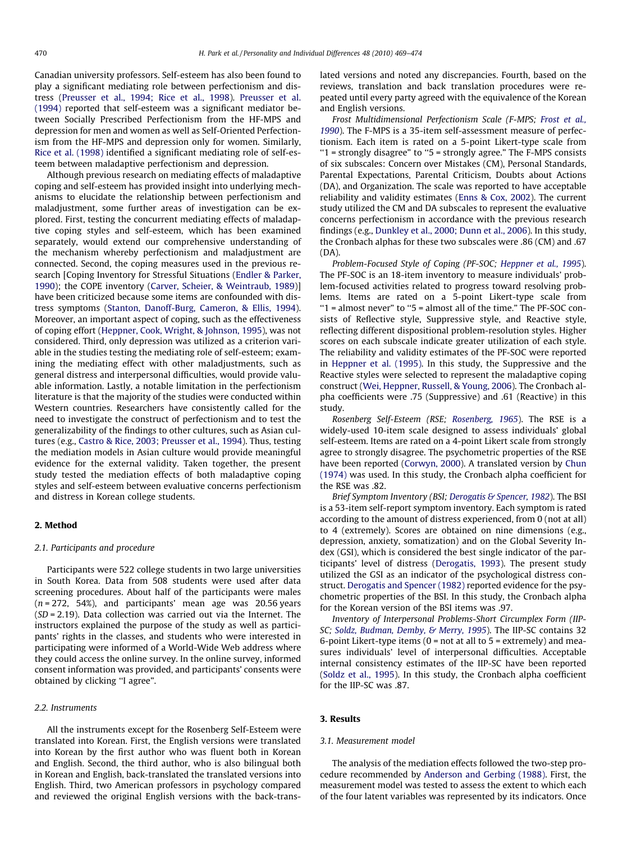Canadian university professors. Self-esteem has also been found to play a significant mediating role between perfectionism and distress ([Preusser et al., 1994; Rice et al., 1998](#page--1-0)). [Preusser et al.](#page--1-0) [\(1994\)](#page--1-0) reported that self-esteem was a significant mediator between Socially Prescribed Perfectionism from the HF-MPS and depression for men and women as well as Self-Oriented Perfectionism from the HF-MPS and depression only for women. Similarly, [Rice et al. \(1998\)](#page--1-0) identified a significant mediating role of self-esteem between maladaptive perfectionism and depression.

Although previous research on mediating effects of maladaptive coping and self-esteem has provided insight into underlying mechanisms to elucidate the relationship between perfectionism and maladjustment, some further areas of investigation can be explored. First, testing the concurrent mediating effects of maladaptive coping styles and self-esteem, which has been examined separately, would extend our comprehensive understanding of the mechanism whereby perfectionism and maladjustment are connected. Second, the coping measures used in the previous research [Coping Inventory for Stressful Situations [\(Endler & Parker,](#page--1-0) [1990\)](#page--1-0); the COPE inventory [\(Carver, Scheier, & Weintraub, 1989\)](#page--1-0)] have been criticized because some items are confounded with distress symptoms [\(Stanton, Danoff-Burg, Cameron, & Ellis, 1994\)](#page--1-0). Moreover, an important aspect of coping, such as the effectiveness of coping effort ([Heppner, Cook, Wright, & Johnson, 1995\)](#page--1-0), was not considered. Third, only depression was utilized as a criterion variable in the studies testing the mediating role of self-esteem; examining the mediating effect with other maladjustments, such as general distress and interpersonal difficulties, would provide valuable information. Lastly, a notable limitation in the perfectionism literature is that the majority of the studies were conducted within Western countries. Researchers have consistently called for the need to investigate the construct of perfectionism and to test the generalizability of the findings to other cultures, such as Asian cultures (e.g., [Castro & Rice, 2003; Preusser et al., 1994](#page--1-0)). Thus, testing the mediation models in Asian culture would provide meaningful evidence for the external validity. Taken together, the present study tested the mediation effects of both maladaptive coping styles and self-esteem between evaluative concerns perfectionism and distress in Korean college students.

## 2. Method

# 2.1. Participants and procedure

Participants were 522 college students in two large universities in South Korea. Data from 508 students were used after data screening procedures. About half of the participants were males  $(n = 272, 54%)$ , and participants' mean age was 20.56 years  $(SD = 2.19)$ . Data collection was carried out via the Internet. The instructors explained the purpose of the study as well as participants' rights in the classes, and students who were interested in participating were informed of a World-Wide Web address where they could access the online survey. In the online survey, informed consent information was provided, and participants' consents were obtained by clicking ''I agree".

## 2.2. Instruments

All the instruments except for the Rosenberg Self-Esteem were translated into Korean. First, the English versions were translated into Korean by the first author who was fluent both in Korean and English. Second, the third author, who is also bilingual both in Korean and English, back-translated the translated versions into English. Third, two American professors in psychology compared and reviewed the original English versions with the back-translated versions and noted any discrepancies. Fourth, based on the reviews, translation and back translation procedures were repeated until every party agreed with the equivalence of the Korean and English versions.

Frost Multidimensional Perfectionism Scale (F-MPS; [Frost et al.,](#page--1-0) [1990](#page--1-0)). The F-MPS is a 35-item self-assessment measure of perfectionism. Each item is rated on a 5-point Likert-type scale from ''1 = strongly disagree" to ''5 = strongly agree." The F-MPS consists of six subscales: Concern over Mistakes (CM), Personal Standards, Parental Expectations, Parental Criticism, Doubts about Actions (DA), and Organization. The scale was reported to have acceptable reliability and validity estimates [\(Enns & Cox, 2002](#page--1-0)). The current study utilized the CM and DA subscales to represent the evaluative concerns perfectionism in accordance with the previous research findings (e.g., [Dunkley et al., 2000; Dunn et al., 2006](#page--1-0)). In this study, the Cronbach alphas for these two subscales were .86 (CM) and .67 (DA).

Problem-Focused Style of Coping (PF-SOC; Heppner et [al., 1995](#page--1-0)). The PF-SOC is an 18-item inventory to measure individuals' problem-focused activities related to progress toward resolving problems. Items are rated on a 5-point Likert-type scale from "1 = almost never" to "5 = almost all of the time." The PF-SOC consists of Reflective style, Suppressive style, and Reactive style, reflecting different dispositional problem-resolution styles. Higher scores on each subscale indicate greater utilization of each style. The reliability and validity estimates of the PF-SOC were reported in [Heppner et al. \(1995\)](#page--1-0). In this study, the Suppressive and the Reactive styles were selected to represent the maladaptive coping construct [\(Wei, Heppner, Russell, & Young, 2006](#page--1-0)). The Cronbach alpha coefficients were .75 (Suppressive) and .61 (Reactive) in this study.

Rosenberg Self-Esteem (RSE; [Rosenberg, 1965](#page--1-0)). The RSE is a widely-used 10-item scale designed to assess individuals' global self-esteem. Items are rated on a 4-point Likert scale from strongly agree to strongly disagree. The psychometric properties of the RSE have been reported [\(Corwyn, 2000](#page--1-0)). A translated version by [Chun](#page--1-0) [\(1974\)](#page--1-0) was used. In this study, the Cronbach alpha coefficient for the RSE was .82.

Brief Symptom Inventory (BSI; [Derogatis & Spencer, 1982](#page--1-0)). The BSI is a 53-item self-report symptom inventory. Each symptom is rated according to the amount of distress experienced, from 0 (not at all) to 4 (extremely). Scores are obtained on nine dimensions (e.g., depression, anxiety, somatization) and on the Global Severity Index (GSI), which is considered the best single indicator of the participants' level of distress ([Derogatis, 1993\)](#page--1-0). The present study utilized the GSI as an indicator of the psychological distress construct. [Derogatis and Spencer \(1982\)](#page--1-0) reported evidence for the psychometric properties of the BSI. In this study, the Cronbach alpha for the Korean version of the BSI items was .97.

Inventory of Interpersonal Problems-Short Circumplex Form (IIP-SC; [Soldz, Budman, Demby, & Merry, 1995](#page--1-0)). The IIP-SC contains 32 6-point Likert-type items ( $0 = not$  at all to  $5 =$  extremely) and measures individuals' level of interpersonal difficulties. Acceptable internal consistency estimates of the IIP-SC have been reported ([Soldz et al., 1995\)](#page--1-0). In this study, the Cronbach alpha coefficient for the IIP-SC was .87.

### 3. Results

#### 3.1. Measurement model

The analysis of the mediation effects followed the two-step procedure recommended by [Anderson and Gerbing \(1988\).](#page--1-0) First, the measurement model was tested to assess the extent to which each of the four latent variables was represented by its indicators. Once